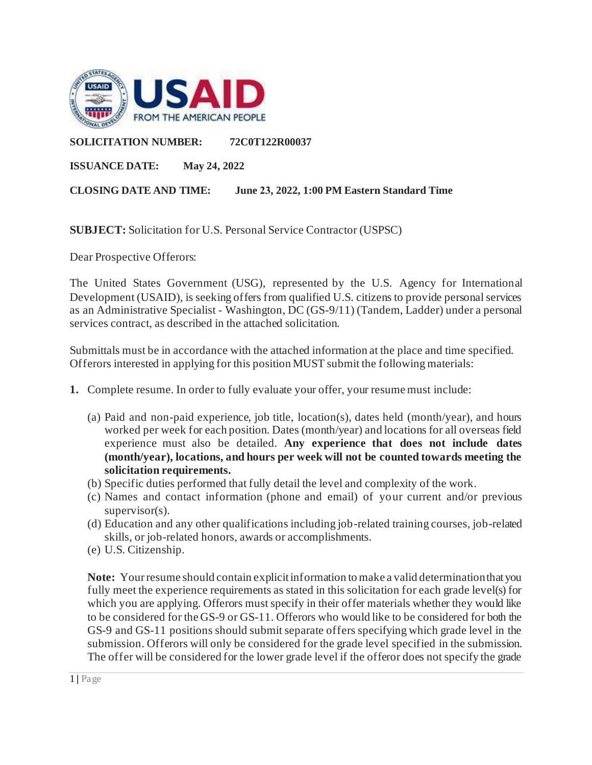

#### **SOLICITATION NUMBER: 72C0T122R00037**

**ISSUANCE DATE: May 24, 2022** 

**CLOSING DATE AND TIME: June 23, 2022, 1:00 PM Eastern Standard Time** 

**SUBJECT:** Solicitation for U.S. Personal Service Contractor (USPSC)

Dear Prospective Offerors:

The United States Government (USG), represented by the U.S. Agency for International Development (USAID), is seeking offers from qualified U.S. citizens to provide personal services as an Administrative Specialist - Washington, DC (GS-9/11) (Tandem, Ladder) under a personal services contract, as described in the attached solicitation.

Submittals must be in accordance with the attached information at the place and time specified. Offerors interested in applying for this position MUST submit the following materials:

- **1.** Complete resume. In order to fully evaluate your offer, your resume must include:
	- (a) Paid and non-paid experience, job title, location(s), dates held (month/year), and hours worked per week for each position. Dates (month/year) and locations for all overseas field experience must also be detailed. **Any experience that does not include dates (month/year), locations, and hours per week will not be counted towards meeting the solicitation requirements.**
	- (b) Specific duties performed that fully detail the level and complexity of the work.
	- (c) Names and contact information (phone and email) of your current and/or previous supervisor(s).
	- (d) Education and any other qualifications including job-related training courses, job-related skills, or job-related honors, awards or accomplishments.
	- (e) U.S. Citizenship.

**Note:** Your resume should contain explicit information to make a valid determination that you fully meet the experience requirements as stated in this solicitation for each grade level(s) for which you are applying. Offerors must specify in their offer materials whether they would like to be considered for the GS-9 or GS-11. Offerors who would like to be considered for both the GS-9 and GS-11 positions should submit separate offers specifying which grade level in the submission. Offerors will only be considered for the grade level specified in the submission. The offer will be considered for the lower grade level if the offeror does not specify the grade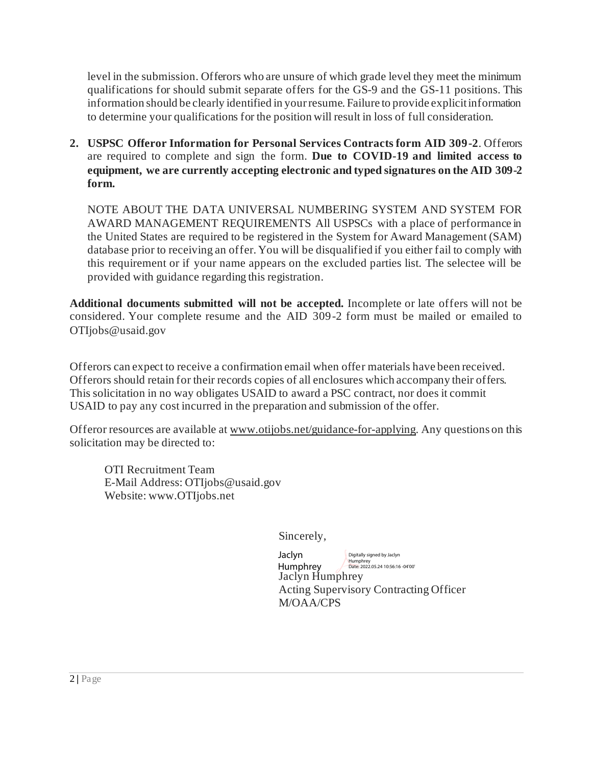level in the submission. Offerors who are unsure of which grade level they meet the minimum qualifications for should submit separate offers for the GS-9 and the GS-11 positions. This information should be clearly identified in your resume. Failure to provide explicit information to determine your qualifications for the position will result in loss of full consideration.

**2. USPSC Offeror Information for Personal Services Contracts form AID 309-2**. Offerors are required to complete and sign the form. **Due to COVID-19 and limited access to equipment, we are currently accepting electronic and typed signatures on the AID 309-2 form.**

NOTE ABOUT THE DATA UNIVERSAL NUMBERING SYSTEM AND SYSTEM FOR AWARD MANAGEMENT REQUIREMENTS All USPSCs with a place of performance in the United States are required to be registered in the System for Award Management (SAM) database prior to receiving an offer. You will be disqualified if you either fail to comply with this requirement or if your name appears on the excluded parties list. The selectee will be provided with guidance regarding this registration.

**Additional documents submitted will not be accepted.** Incomplete or late offers will not be considered. Your complete resume and the AID 309-2 form must be mailed or emailed to OTIjobs@usaid.gov

Offerors can expect to receive a confirmation email when offer materials have been received. Offerors should retain for their records copies of all enclosures which accompany their offers. This solicitation in no way obligates USAID to award a PSC contract, nor does it commit USAID to pay any cost incurred in the preparation and submission of the offer.

Offeror resources are available a[t www.otijobs.net/guidance-for-applying](http://www.otijobs.net/guidance-for-applying). Any questions on this solicitation may be directed to:

OTI Recruitment Team E-Mail Address: OTIjobs@usaid.gov Website: www.OTIjobs.net

Sincerely,

Jaclyn Humphrey Acting Supervisory Contracting Officer M/OAA/CPS Jaclyn Humphrey Digitally signed by Jaclyn Humphrey Date: 2022.05.24 10:56:16 -04'00'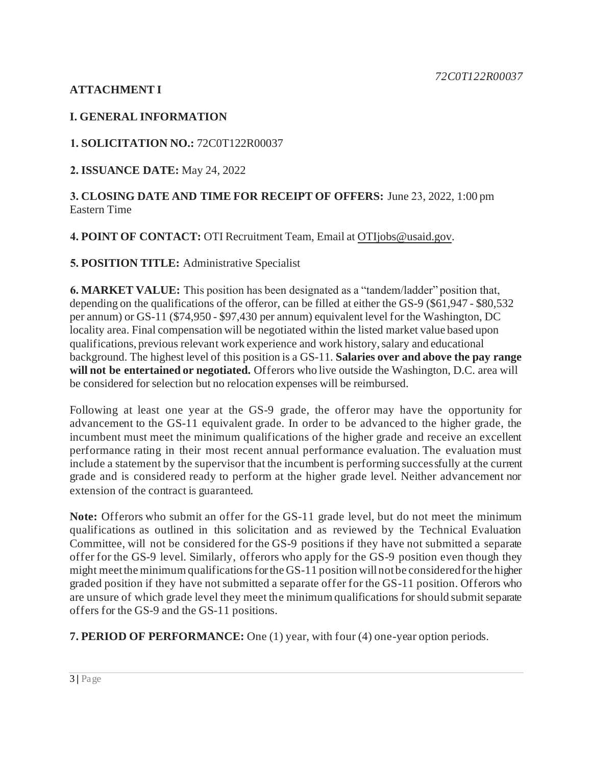## **ATTACHMENT I**

#### **I. GENERAL INFORMATION**

#### **1. SOLICITATION NO.:** 72C0T122R00037

**2. ISSUANCE DATE:** May 24, 2022

#### **3. CLOSING DATE AND TIME FOR RECEIPT OF OFFERS:** June 23, 2022, 1:00 pm Eastern Time

#### **4. POINT OF CONTACT:** OTI Recruitment Team, Email at [OTIjobs@usaid.gov](mailto:OTIjobs@usaid.gov).

#### **5. POSITION TITLE:** Administrative Specialist

**6. MARKET VALUE:** This position has been designated as a "tandem/ladder" position that, depending on the qualifications of the offeror, can be filled at either the GS-9 (\$61,947 - \$80,532 per annum) or GS-11 (\$74,950 - \$97,430 per annum) equivalent level for the Washington, DC locality area. Final compensation will be negotiated within the listed market value based upon qualifications, previous relevant work experience and work history, salary and educational background. The highest level of this position is a GS-11. **Salaries over and above the pay range will not be entertained or negotiated.** Offerors who live outside the Washington, D.C. area will be considered for selection but no relocation expenses will be reimbursed.

Following at least one year at the GS-9 grade, the offeror may have the opportunity for advancement to the GS-11 equivalent grade. In order to be advanced to the higher grade, the incumbent must meet the minimum qualifications of the higher grade and receive an excellent performance rating in their most recent annual performance evaluation. The evaluation must include a statement by the supervisor that the incumbent is performing successfully at the current grade and is considered ready to perform at the higher grade level. Neither advancement nor extension of the contract is guaranteed.

**Note:** Offerors who submit an offer for the GS-11 grade level, but do not meet the minimum qualifications as outlined in this solicitation and as reviewed by the Technical Evaluation Committee, will not be considered for the GS-9 positions if they have not submitted a separate offer for the GS-9 level. Similarly, offerors who apply for the GS-9 position even though they might meet the minimum qualifications for the GS-11 position will not be considered for the higher graded position if they have not submitted a separate offer for the GS-11 position. Offerors who are unsure of which grade level they meet the minimum qualifications for should submit separate offers for the GS-9 and the GS-11 positions.

**7. PERIOD OF PERFORMANCE:** One (1) year, with four (4) one-year option periods.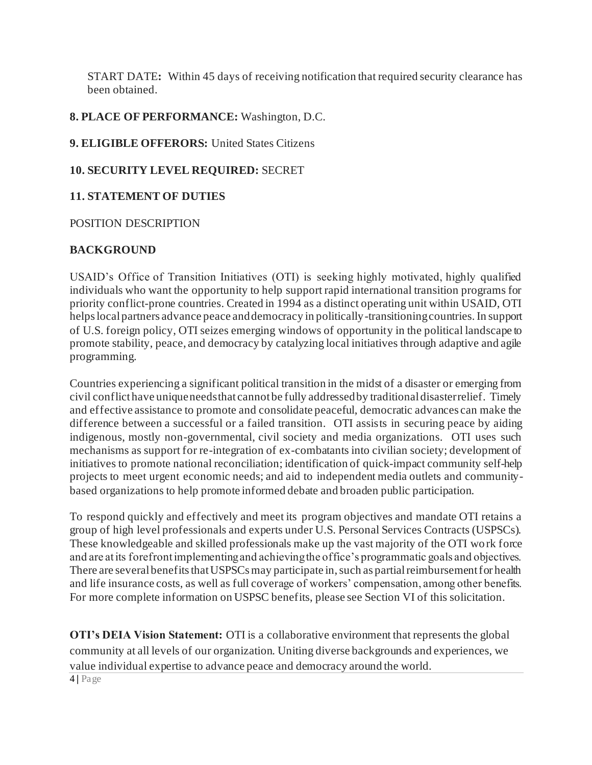START DATE**:** Within 45 days of receiving notification that required security clearance has been obtained.

#### **8. PLACE OF PERFORMANCE:** Washington, D.C.

**9. ELIGIBLE OFFERORS:** United States Citizens

#### **10. SECURITY LEVEL REQUIRED:** SECRET

#### **11. STATEMENT OF DUTIES**

#### POSITION DESCRIPTION

#### **BACKGROUND**

USAID's Office of Transition Initiatives (OTI) is seeking highly motivated, highly qualified individuals who want the opportunity to help support rapid international transition programs for priority conflict-prone countries. Created in 1994 as a distinct operating unit within USAID, OTI helps local partners advance peace and democracy in politically-transitioning countries. In support of U.S. foreign policy, OTI seizes emerging windows of opportunity in the political landscape to promote stability, peace, and democracy by catalyzing local initiatives through adaptive and agile programming.

Countries experiencing a significant political transition in the midst of a disaster or emerging from civil conflict have unique needs that cannot be fully addressed by traditional disaster relief. Timely and effective assistance to promote and consolidate peaceful, democratic advances can make the difference between a successful or a failed transition. OTI assists in securing peace by aiding indigenous, mostly non-governmental, civil society and media organizations. OTI uses such mechanisms as support for re-integration of ex-combatants into civilian society; development of initiatives to promote national reconciliation; identification of quick-impact community self-help projects to meet urgent economic needs; and aid to independent media outlets and communitybased organizations to help promote informed debate and broaden public participation.

To respond quickly and effectively and meet its program objectives and mandate OTI retains a group of high level professionals and experts under U.S. Personal Services Contracts (USPSCs). These knowledgeable and skilled professionals make up the vast majority of the OTI wo rk force and are at its forefront implementing and achieving the office's programmatic goals and objectives. There are several benefits that USPSCs may participate in, such as partial reimbursement for health and life insurance costs, as well as full coverage of workers' compensation, among other benefits. For more complete information on USPSC benefits, please see Section VI of this solicitation.

4 **|** Page **OTI's DEIA Vision Statement:** OTI is a collaborative environment that represents the global community at all levels of our organization. Uniting diverse backgrounds and experiences, we value individual expertise to advance peace and democracy around the world.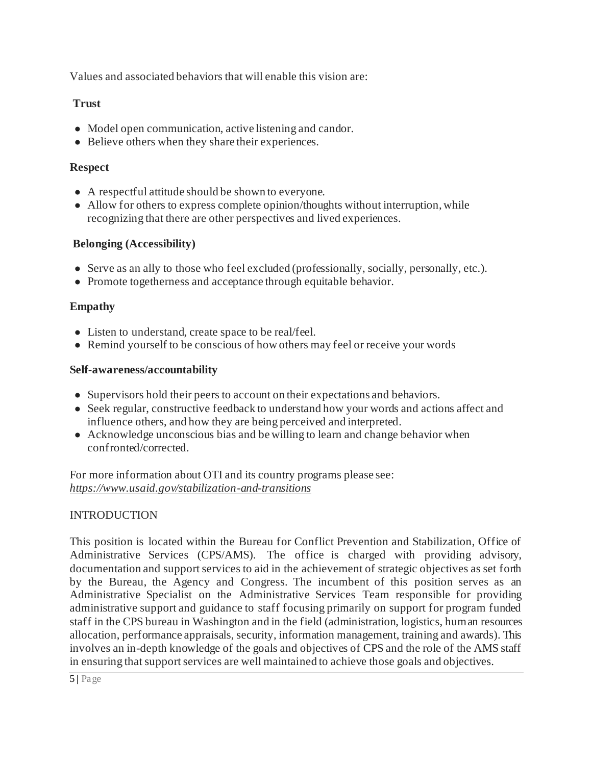Values and associated behaviors that will enable this vision are:

#### **Trust**

- Model open communication, active listening and candor.
- Believe others when they share their experiences.

## **Respect**

- A respectful attitude should be shown to everyone.
- Allow for others to express complete opinion/thoughts without interruption, while recognizing that there are other perspectives and lived experiences.

## **Belonging (Accessibility)**

- Serve as an ally to those who feel excluded (professionally, socially, personally, etc.).
- Promote togetherness and acceptance through equitable behavior.

## **Empathy**

- Listen to understand, create space to be real/feel.
- Remind yourself to be conscious of how others may feel or receive your words

## **Self-awareness/accountability**

- Supervisors hold their peers to account on their expectations and behaviors.
- Seek regular, constructive feedback to understand how your words and actions affect and influence others, and how they are being perceived and interpreted.
- Acknowledge unconscious bias and be willing to learn and change behavior when confronted/corrected.

For more information about OTI and its country programs please see: *<https://www.usaid.gov/stabilization-and-transitions>*

## INTRODUCTION

This position is located within the Bureau for Conflict Prevention and Stabilization, Office of Administrative Services (CPS/AMS). The office is charged with providing advisory, documentation and support services to aid in the achievement of strategic objectives as set forth by the Bureau, the Agency and Congress. The incumbent of this position serves as an Administrative Specialist on the Administrative Services Team responsible for providing administrative support and guidance to staff focusing primarily on support for program funded staff in the CPS bureau in Washington and in the field (administration, logistics, human resources allocation, performance appraisals, security, information management, training and awards). This involves an in-depth knowledge of the goals and objectives of CPS and the role of the AMS staff in ensuring that support services are well maintained to achieve those goals and objectives.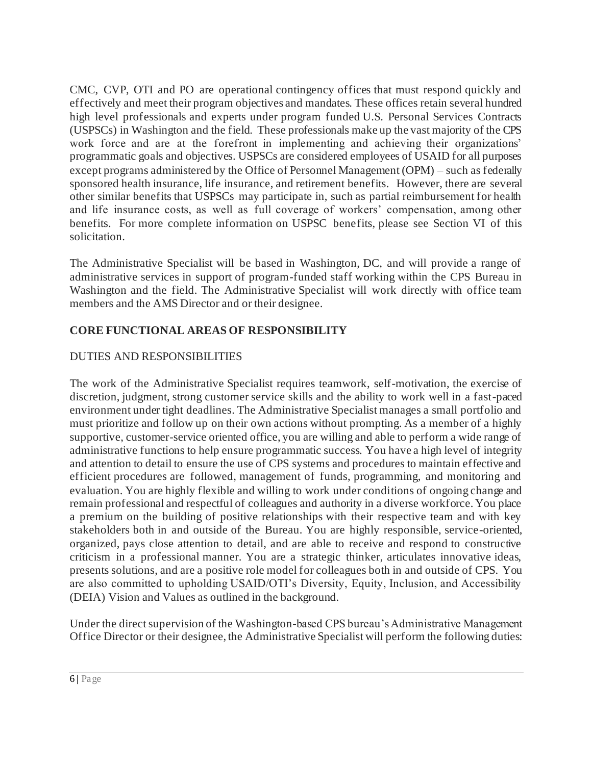CMC, CVP, OTI and PO are operational contingency offices that must respond quickly and effectively and meet their program objectives and mandates. These offices retain several hundred high level professionals and experts under program funded U.S. Personal Services Contracts (USPSCs) in Washington and the field. These professionals make up the vast majority of the CPS work force and are at the forefront in implementing and achieving their organizations' programmatic goals and objectives. USPSCs are considered employees of USAID for all purposes except programs administered by the Office of Personnel Management (OPM) – such as federally sponsored health insurance, life insurance, and retirement benefits. However, there are several other similar benefits that USPSCs may participate in, such as partial reimbursement for health and life insurance costs, as well as full coverage of workers' compensation, among other benefits. For more complete information on USPSC benefits, please see Section VI of this solicitation.

The Administrative Specialist will be based in Washington, DC, and will provide a range of administrative services in support of program-funded staff working within the CPS Bureau in Washington and the field. The Administrative Specialist will work directly with office team members and the AMS Director and or their designee.

## **CORE FUNCTIONAL AREAS OF RESPONSIBILITY**

## DUTIES AND RESPONSIBILITIES

The work of the Administrative Specialist requires teamwork, self-motivation, the exercise of discretion, judgment, strong customer service skills and the ability to work well in a fast-paced environment under tight deadlines. The Administrative Specialist manages a small portfolio and must prioritize and follow up on their own actions without prompting. As a member of a highly supportive, customer-service oriented office, you are willing and able to perform a wide range of administrative functions to help ensure programmatic success. You have a high level of integrity and attention to detail to ensure the use of CPS systems and procedures to maintain effective and efficient procedures are followed, management of funds, programming, and monitoring and evaluation. You are highly flexible and willing to work under conditions of ongoing change and remain professional and respectful of colleagues and authority in a diverse workforce. You place a premium on the building of positive relationships with their respective team and with key stakeholders both in and outside of the Bureau. You are highly responsible, service-oriented, organized, pays close attention to detail, and are able to receive and respond to constructive criticism in a professional manner. You are a strategic thinker, articulates innovative ideas, presents solutions, and are a positive role model for colleagues both in and outside of CPS. You are also committed to upholding USAID/OTI's Diversity, Equity, Inclusion, and Accessibility (DEIA) Vision and Values as outlined in the background.

Under the direct supervision of the Washington-based CPS bureau's Administrative Management Office Director or their designee, the Administrative Specialist will perform the following duties: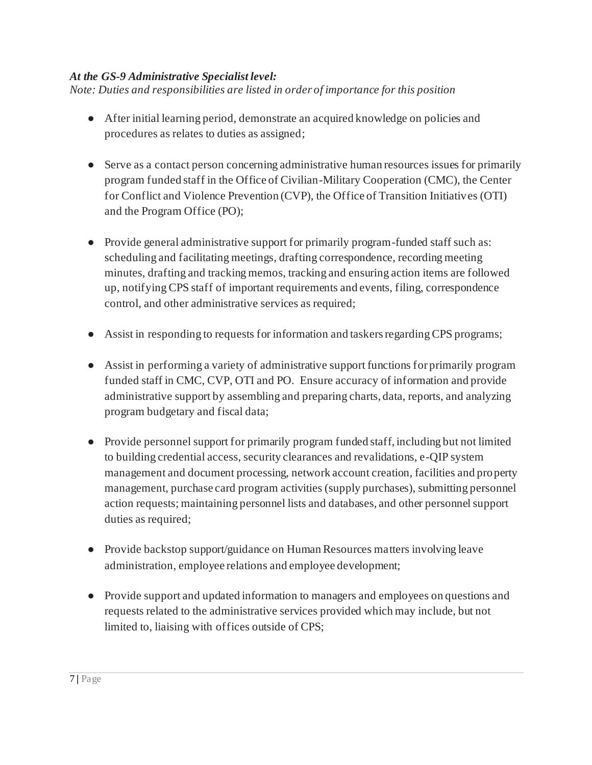#### *At the GS-9 Administrative Specialist level:*

*Note: Duties and responsibilities are listed in order of importance for this position*

- After initial learning period, demonstrate an acquired knowledge on policies and procedures as relates to duties as assigned;
- Serve as a contact person concerning administrative human resources issues for primarily program funded staff in the Office of Civilian-Military Cooperation (CMC), the Center for Conflict and Violence Prevention (CVP), the Office of Transition Initiatives (OTI) and the Program Office (PO);
- Provide general administrative support for primarily program-funded staff such as: scheduling and facilitating meetings, drafting correspondence, recording meeting minutes, drafting and tracking memos, tracking and ensuring action items are followed up, notifying CPS staff of important requirements and events, filing, correspondence control, and other administrative services as required;
- Assist in responding to requests for information and taskers regarding CPS programs;
- Assist in performing a variety of administrative support functions for primarily program funded staff in CMC, CVP, OTI and PO. Ensure accuracy of information and provide administrative support by assembling and preparing charts, data, reports, and analyzing program budgetary and fiscal data;
- Provide personnel support for primarily program funded staff, including but not limited to building credential access, security clearances and revalidations, e-QIP system management and document processing, network account creation, facilities and property management, purchase card program activities (supply purchases), submitting personnel action requests; maintaining personnel lists and databases, and other personnel support duties as required;
- Provide backstop support/guidance on Human Resources matters involving leave administration, employee relations and employee development;
- Provide support and updated information to managers and employees on questions and requests related to the administrative services provided which may include, but not limited to, liaising with offices outside of CPS;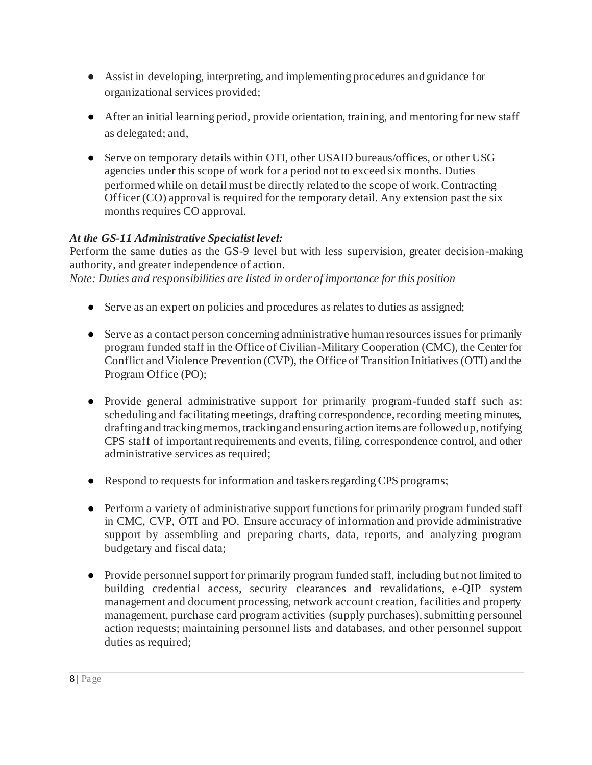- Assist in developing, interpreting, and implementing procedures and guidance for organizational services provided;
- After an initial learning period, provide orientation, training, and mentoring for new staff as delegated; and,
- Serve on temporary details within OTI, other USAID bureaus/offices, or other USG agencies under this scope of work for a period not to exceed six months. Duties performed while on detail must be directly related to the scope of work. Contracting Officer (CO) approval is required for the temporary detail. Any extension past the six months requires CO approval.

## *At the GS-11 Administrative Specialist level:*

Perform the same duties as the GS-9 level but with less supervision, greater decision-making authority, and greater independence of action.

*Note: Duties and responsibilities are listed in order of importance for this position*

- Serve as an expert on policies and procedures as relates to duties as assigned;
- Serve as a contact person concerning administrative human resources issues for primarily program funded staff in the Office of Civilian-Military Cooperation (CMC), the Center for Conflict and Violence Prevention (CVP), the Office of Transition Initiatives (OTI) and the Program Office (PO);
- Provide general administrative support for primarily program-funded staff such as: scheduling and facilitating meetings, drafting correspondence, recording meeting minutes, drafting and tracking memos, tracking and ensuring action items are followed up, notifying CPS staff of important requirements and events, filing, correspondence control, and other administrative services as required;
- Respond to requests for information and taskers regarding CPS programs;
- Perform a variety of administrative support functions for primarily program funded staff in CMC, CVP, OTI and PO. Ensure accuracy of information and provide administrative support by assembling and preparing charts, data, reports, and analyzing program budgetary and fiscal data;
- Provide personnel support for primarily program funded staff, including but not limited to building credential access, security clearances and revalidations, e-QIP system management and document processing, network account creation, facilities and property management, purchase card program activities (supply purchases), submitting personnel action requests; maintaining personnel lists and databases, and other personnel support duties as required;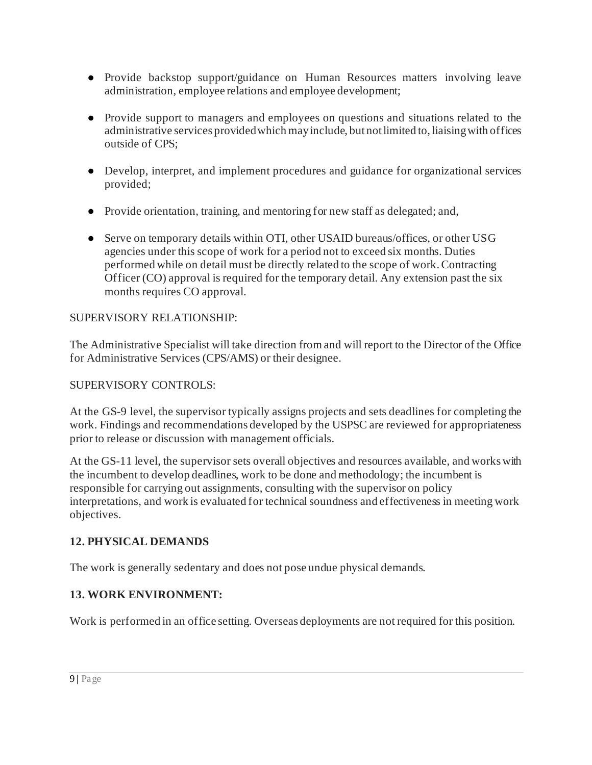- Provide backstop support/guidance on Human Resources matters involving leave administration, employee relations and employee development;
- Provide support to managers and employees on questions and situations related to the administrative services provided which may include, but not limited to, liaising with offices outside of CPS;
- Develop, interpret, and implement procedures and guidance for organizational services provided;
- Provide orientation, training, and mentoring for new staff as delegated; and,
- Serve on temporary details within OTI, other USAID bureaus/offices, or other USG agencies under this scope of work for a period not to exceed six months. Duties performed while on detail must be directly related to the scope of work. Contracting Officer (CO) approval is required for the temporary detail. Any extension past the six months requires CO approval.

#### SUPERVISORY RELATIONSHIP:

The Administrative Specialist will take direction from and will report to the Director of the Office for Administrative Services (CPS/AMS) or their designee.

#### SUPERVISORY CONTROLS:

At the GS-9 level, the supervisor typically assigns projects and sets deadlines for completing the work. Findings and recommendations developed by the USPSC are reviewed for appropriateness prior to release or discussion with management officials.

At the GS-11 level, the supervisor sets overall objectives and resources available, and works with the incumbent to develop deadlines, work to be done and methodology; the incumbent is responsible for carrying out assignments, consulting with the supervisor on policy interpretations, and work is evaluated for technical soundness and effectiveness in meeting work objectives.

## **12. PHYSICAL DEMANDS**

The work is generally sedentary and does not pose undue physical demands.

#### **13. WORK ENVIRONMENT:**

Work is performed in an office setting. Overseas deployments are not required for this position.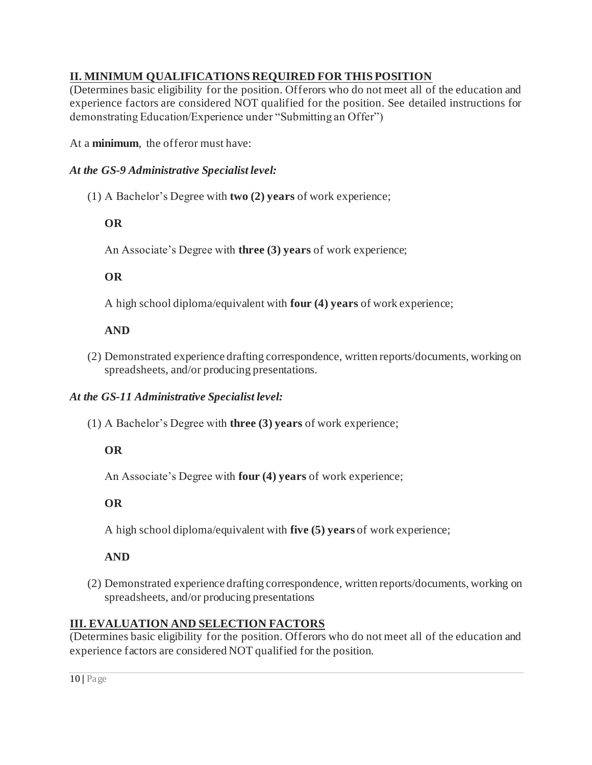## **II. MINIMUM QUALIFICATIONS REQUIRED FOR THIS POSITION**

(Determines basic eligibility for the position. Offerors who do not meet all of the education and experience factors are considered NOT qualified for the position. See detailed instructions for demonstrating Education/Experience under "Submitting an Offer")

At a **minimum**, the offeror must have:

## *At the GS-9 Administrative Specialist level:*

(1) A Bachelor's Degree with **two (2) years** of work experience;

# **OR**

An Associate's Degree with **three (3) years** of work experience;

# **OR**

A high school diploma/equivalent with **four (4) years** of work experience;

# **AND**

(2) Demonstrated experience drafting correspondence, written reports/documents, working on spreadsheets, and/or producing presentations.

## *At the GS-11 Administrative Specialist level:*

(1) A Bachelor's Degree with **three (3) years** of work experience;

# **OR**

An Associate's Degree with **four (4) years** of work experience;

**OR**

A high school diploma/equivalent with **five (5) years** of work experience;

## **AND**

(2) Demonstrated experience drafting correspondence, written reports/documents, working on spreadsheets, and/or producing presentations

## **III. EVALUATION AND SELECTION FACTORS**

(Determines basic eligibility for the position. Offerors who do not meet all of the education and experience factors are considered NOT qualified for the position.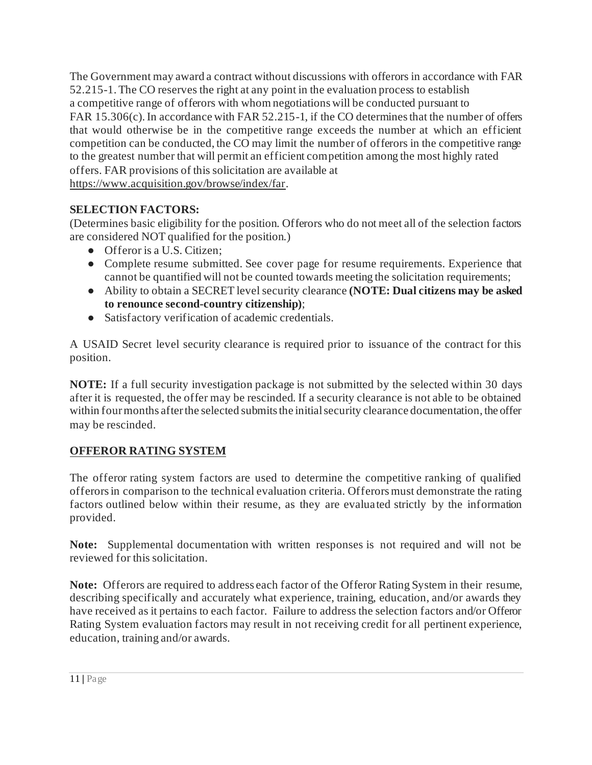The Government may award a contract without discussions with offerors in accordance with FAR 52.215-1. The CO reserves the right at any point in the evaluation process to establish a competitive range of offerors with whom negotiations will be conducted pursuant to FAR 15.306(c). In accordance with FAR 52.215-1, if the CO determines that the number of offers that would otherwise be in the competitive range exceeds the number at which an efficient competition can be conducted, the CO may limit the number of offerors in the competitive range to the greatest number that will permit an efficient competition among the most highly rated offers. FAR provisions of this solicitation are available at <https://www.acquisition.gov/browse/index/far>.

## **SELECTION FACTORS:**

(Determines basic eligibility for the position. Offerors who do not meet all of the selection factors are considered NOT qualified for the position.)

- Offeror is a U.S. Citizen:
- Complete resume submitted. See cover page for resume requirements. Experience that cannot be quantified will not be counted towards meeting the solicitation requirements;
- Ability to obtain a SECRET level security clearance **(NOTE: Dual citizens may be asked to renounce second-country citizenship)**;
- Satisfactory verification of academic credentials.

A USAID Secret level security clearance is required prior to issuance of the contract for this position.

**NOTE:** If a full security investigation package is not submitted by the selected within 30 days after it is requested, the offer may be rescinded. If a security clearance is not able to be obtained within four months after the selected submits the initial security clearance documentation, the offer may be rescinded.

# **OFFEROR RATING SYSTEM**

The offeror rating system factors are used to determine the competitive ranking of qualified offerors in comparison to the technical evaluation criteria. Offerors must demonstrate the rating factors outlined below within their resume, as they are evaluated strictly by the information provided.

**Note:** Supplemental documentation with written responses is not required and will not be reviewed for this solicitation.

**Note:** Offerors are required to address each factor of the Offeror Rating System in their resume, describing specifically and accurately what experience, training, education, and/or awards they have received as it pertains to each factor. Failure to address the selection factors and/or Offeror Rating System evaluation factors may result in not receiving credit for all pertinent experience, education, training and/or awards.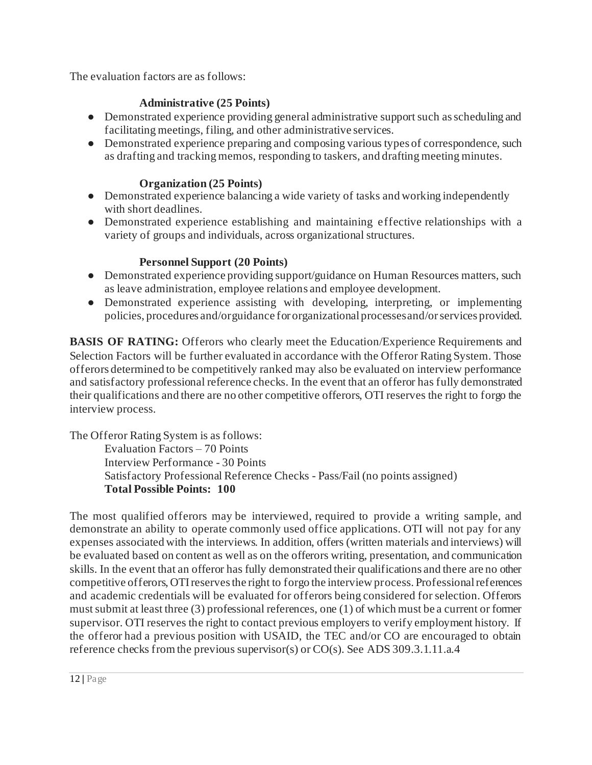The evaluation factors are as follows:

## **Administrative (25 Points)**

- Demonstrated experience providing general administrative support such as scheduling and facilitating meetings, filing, and other administrative services.
- Demonstrated experience preparing and composing various types of correspondence, such as drafting and tracking memos, responding to taskers, and drafting meeting minutes.

### **Organization (25 Points)**

- Demonstrated experience balancing a wide variety of tasks and working independently with short deadlines.
- Demonstrated experience establishing and maintaining effective relationships with a variety of groups and individuals, across organizational structures.

## **Personnel Support (20 Points)**

- Demonstrated experience providing support/guidance on Human Resources matters, such as leave administration, employee relations and employee development.
- Demonstrated experience assisting with developing, interpreting, or implementing policies, procedures and/or guidance for organizational processes and/or services provided.

**BASIS OF RATING:** Offerors who clearly meet the Education/Experience Requirements and Selection Factors will be further evaluated in accordance with the Offeror Rating System. Those offerors determined to be competitively ranked may also be evaluated on interview performance and satisfactory professional reference checks. In the event that an offeror has fully demonstrated their qualifications and there are no other competitive offerors, OTI reserves the right to forgo the interview process.

The Offeror Rating System is as follows: Evaluation Factors – 70 Points Interview Performance - 30 Points Satisfactory Professional Reference Checks - Pass/Fail (no points assigned) **Total Possible Points: 100**

The most qualified offerors may be interviewed, required to provide a writing sample, and demonstrate an ability to operate commonly used office applications. OTI will not pay for any expenses associated with the interviews. In addition, offers (written materials and interviews) will be evaluated based on content as well as on the offerors writing, presentation, and communication skills. In the event that an offeror has fully demonstrated their qualifications and there are no other competitive offerors, OTI reserves the right to forgo the interview process. Professional references and academic credentials will be evaluated for offerors being considered for selection. Offerors must submit at least three (3) professional references, one (1) of which must be a current or former supervisor. OTI reserves the right to contact previous employers to verify employment history. If the offeror had a previous position with USAID, the TEC and/or CO are encouraged to obtain reference checks from the previous supervisor(s) or CO(s). Se[e ADS 309.3.1.11.a.4](https://www.usaid.gov/sites/default/files/documents/309.pdf)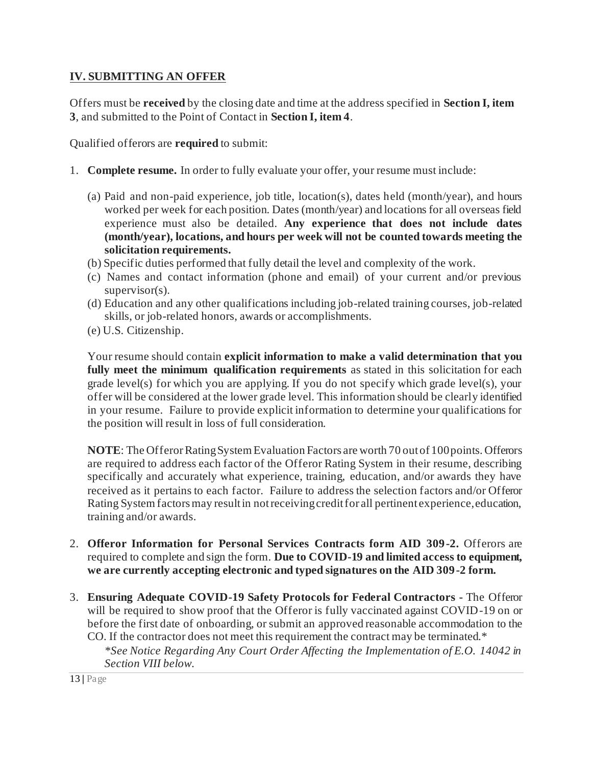### **IV. SUBMITTING AN OFFER**

Offers must be **received** by the closing date and time at the address specified in **Section I, item 3**, and submitted to the Point of Contact in **Section I, item 4**.

Qualified offerors are **required** to submit:

- 1. **Complete resume.** In order to fully evaluate your offer, your resume must include:
	- (a) Paid and non-paid experience, job title, location(s), dates held (month/year), and hours worked per week for each position. Dates (month/year) and locations for all overseas field experience must also be detailed. **Any experience that does not include dates (month/year), locations, and hours per week will not be counted towards meeting the solicitation requirements.**
	- (b) Specific duties performed that fully detail the level and complexity of the work.
	- (c) Names and contact information (phone and email) of your current and/or previous supervisor(s).
	- (d) Education and any other qualifications including job-related training courses, job-related skills, or job-related honors, awards or accomplishments.
	- (e) U.S. Citizenship.

Your resume should contain **explicit information to make a valid determination that you fully meet the minimum qualification requirements** as stated in this solicitation for each grade level(s) for which you are applying. If you do not specify which grade level(s), your offer will be considered at the lower grade level. This information should be clearly identified in your resume. Failure to provide explicit information to determine your qualifications for the position will result in loss of full consideration.

**NOTE**: The Offeror Rating System Evaluation Factors are worth 70 out of 100 points. Offerors are required to address each factor of the Offeror Rating System in their resume, describing specifically and accurately what experience, training, education, and/or awards they have received as it pertains to each factor. Failure to address the selection factors and/or Offeror Rating System factors may result in not receiving credit for all pertinent experience, education, training and/or awards.

- 2. **Offeror Information for Personal Services Contracts form AID 309-2.** Offerors are required to complete and sign the form. **Due to COVID-19 and limited access to equipment, we are currently accepting electronic and typed signatures on the AID 309-2 form.**
- 3. **Ensuring Adequate COVID-19 Safety Protocols for Federal Contractors -** The Offeror will be required to show proof that the Offeror is fully vaccinated against COVID-19 on or before the first date of onboarding, or submit an approved reasonable accommodation to the CO. If the contractor does not meet this requirement the contract may be terminated.\* *\*See Notice Regarding Any Court Order Affecting the Implementation of E.O. 14042 in Section VIII below.*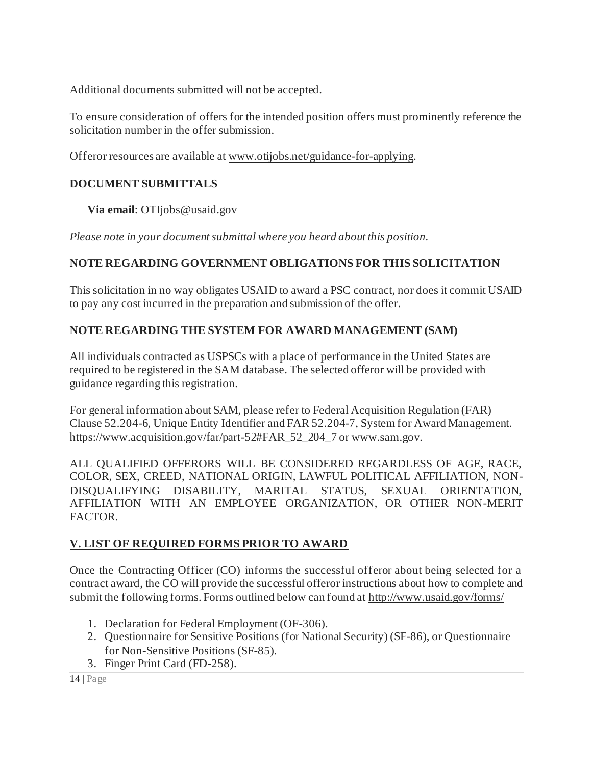Additional documents submitted will not be accepted.

To ensure consideration of offers for the intended position offers must prominently reference the solicitation number in the offer submission.

Offeror resources are available a[t www.otijobs.net/guidance-for-applying](http://www.otijobs.net/guidance-for-applying).

## **DOCUMENT SUBMITTALS**

**Via email**: OTIjobs@usaid.gov

*Please note in your document submittal where you heard about this position.*

## **NOTE REGARDING GOVERNMENT OBLIGATIONS FOR THIS SOLICITATION**

This solicitation in no way obligates USAID to award a PSC contract, nor does it commit USAID to pay any cost incurred in the preparation and submission of the offer.

## **NOTE REGARDING THE SYSTEM FOR AWARD MANAGEMENT (SAM)**

All individuals contracted as USPSCs with a place of performance in the United States are required to be registered in the SAM database. The selected offeror will be provided with guidance regarding this registration.

For general information about SAM, please refer to Federal Acquisition Regulation (FAR) Clause 52.204-6, Unique Entity Identifier and FAR 52.204-7, System for Award Management. https://www.acquisition.gov/far/part-52#FAR\_52\_204\_7 or [www.sam.gov](http://www.sam.gov/).

ALL QUALIFIED OFFERORS WILL BE CONSIDERED REGARDLESS OF AGE, RACE, COLOR, SEX, CREED, NATIONAL ORIGIN, LAWFUL POLITICAL AFFILIATION, NON-DISQUALIFYING DISABILITY, MARITAL STATUS, SEXUAL ORIENTATION, AFFILIATION WITH AN EMPLOYEE ORGANIZATION, OR OTHER NON-MERIT FACTOR.

## **V. LIST OF REQUIRED FORMS PRIOR TO AWARD**

Once the Contracting Officer (CO) informs the successful offeror about being selected for a contract award, the CO will provide the successful offeror instructions about how to complete and submit the following forms. Forms outlined below can found a[t http://www.usaid.gov/forms/](http://www.usaid.gov/forms/)

- 1. Declaration for Federal Employment (OF-306).
- 2. Questionnaire for Sensitive Positions (for National Security) (SF-86), or Questionnaire for Non-Sensitive Positions (SF-85).
- 3. Finger Print Card (FD-258).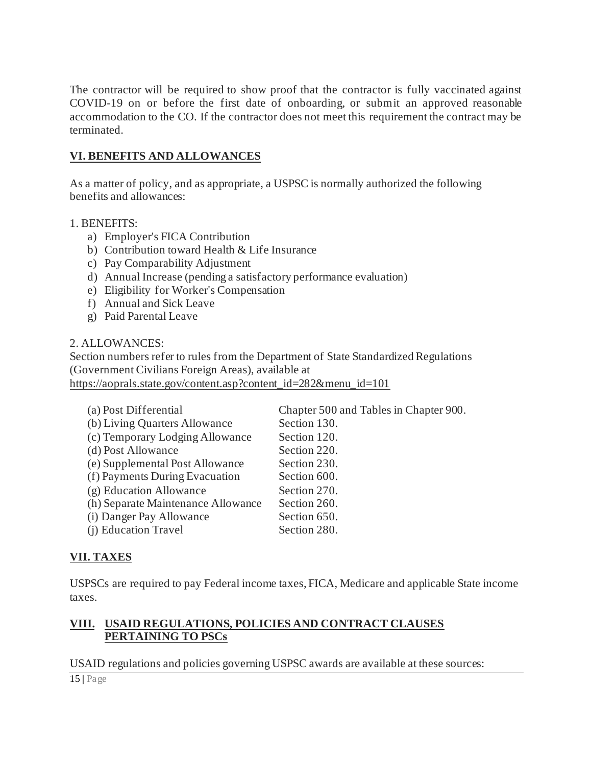The contractor will be required to show proof that the contractor is fully vaccinated against COVID-19 on or before the first date of onboarding, or submit an approved reasonable accommodation to the CO. If the contractor does not meet this requirement the contract may be terminated.

#### **VI. BENEFITS AND ALLOWANCES**

As a matter of policy, and as appropriate, a USPSC is normally authorized the following benefits and allowances:

#### 1. BENEFITS:

- a) Employer's FICA Contribution
- b) Contribution toward Health & Life Insurance
- c) Pay Comparability Adjustment
- d) Annual Increase (pending a satisfactory performance evaluation)
- e) Eligibility for Worker's Compensation
- f) Annual and Sick Leave
- g) Paid Parental Leave

#### 2. ALLOWANCES:

Section numbers refer to rules from the Department of State Standardized Regulations (Government Civilians Foreign Areas), available at [https://aoprals.state.gov/content.asp?content\\_id=282&menu\\_id=101](https://aoprals.state.gov/content.asp?content_id=282&menu_id=101)

| (a) Post Differential              | Chapter 500 and Tables in Chapter 900. |
|------------------------------------|----------------------------------------|
| (b) Living Quarters Allowance      | Section 130.                           |
| (c) Temporary Lodging Allowance    | Section 120.                           |
| (d) Post Allowance                 | Section 220.                           |
| (e) Supplemental Post Allowance    | Section 230.                           |
| (f) Payments During Evacuation     | Section 600.                           |
| (g) Education Allowance            | Section 270.                           |
| (h) Separate Maintenance Allowance | Section 260.                           |
| (i) Danger Pay Allowance           | Section 650.                           |
| (i) Education Travel               | Section 280.                           |

## **VII. TAXES**

USPSCs are required to pay Federal income taxes, FICA, Medicare and applicable State income taxes.

#### **VIII. USAID REGULATIONS, POLICIES AND CONTRACT CLAUSES PERTAINING TO PSCs**

USAID regulations and policies governing USPSC awards are available at these sources:

15 **|** Page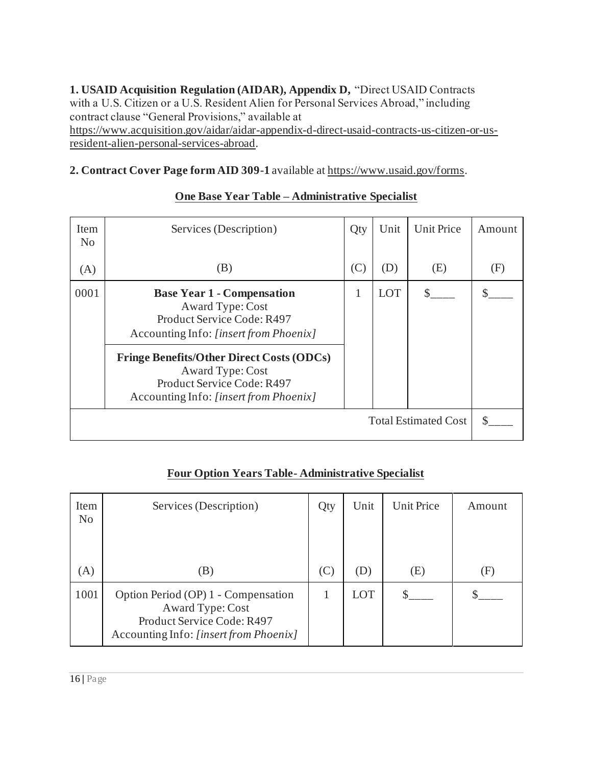**1. USAID Acquisition Regulation (AIDAR), Appendix D,** "Direct USAID Contracts with a U.S. Citizen or a U.S. Resident Alien for Personal Services Abroad," including contract clause "General Provisions," available at [https://www.acquisition.gov/aidar/aidar-appendix-d-direct-usaid-contracts-us-citizen-or-us](https://www.acquisition.gov/aidar/aidar-appendix-d-direct-usaid-contracts-us-citizen-or-us-resident-alien-personal-services-abroad)[resident-alien-personal-services-abroad](https://www.acquisition.gov/aidar/aidar-appendix-d-direct-usaid-contracts-us-citizen-or-us-resident-alien-personal-services-abroad).

**2. Contract Cover Page form AID 309-1** available a[t https://www.usaid.gov/forms](https://www.usaid.gov/forms).

| Item<br>N <sub>0</sub>      | Services (Description)                                                                                                                       | Qty | Unit       | <b>Unit Price</b> | Amount |
|-----------------------------|----------------------------------------------------------------------------------------------------------------------------------------------|-----|------------|-------------------|--------|
| (A)                         | (B)                                                                                                                                          | (C) | (D)        | (E)               | (F)    |
| 0001                        | <b>Base Year 1 - Compensation</b><br>Award Type: Cost<br>Product Service Code: R497<br>Accounting Info: [insert from Phoenix]                | 1   | <b>LOT</b> |                   |        |
|                             | <b>Fringe Benefits/Other Direct Costs (ODCs)</b><br>Award Type: Cost<br>Product Service Code: R497<br>Accounting Info: [insert from Phoenix] |     |            |                   |        |
| <b>Total Estimated Cost</b> |                                                                                                                                              |     |            |                   |        |

## **One Base Year Table – Administrative Specialist**

|  |  |  |  |  | <b>Four Option Years Table-Administrative Specialist</b> |  |
|--|--|--|--|--|----------------------------------------------------------|--|
|--|--|--|--|--|----------------------------------------------------------|--|

| Item<br>N <sub>o</sub> | Services (Description)                                                                                                          | Qty            | Unit | <b>Unit Price</b> | Amount                     |
|------------------------|---------------------------------------------------------------------------------------------------------------------------------|----------------|------|-------------------|----------------------------|
| (A)                    | (B)                                                                                                                             | $(\mathrm{C})$ | (D)  | (E)               | $\left( \mathrm{F}\right)$ |
| 1001                   | Option Period (OP) 1 - Compensation<br>Award Type: Cost<br>Product Service Code: R497<br>Accounting Info: [insert from Phoenix] | 1              | LOT  |                   |                            |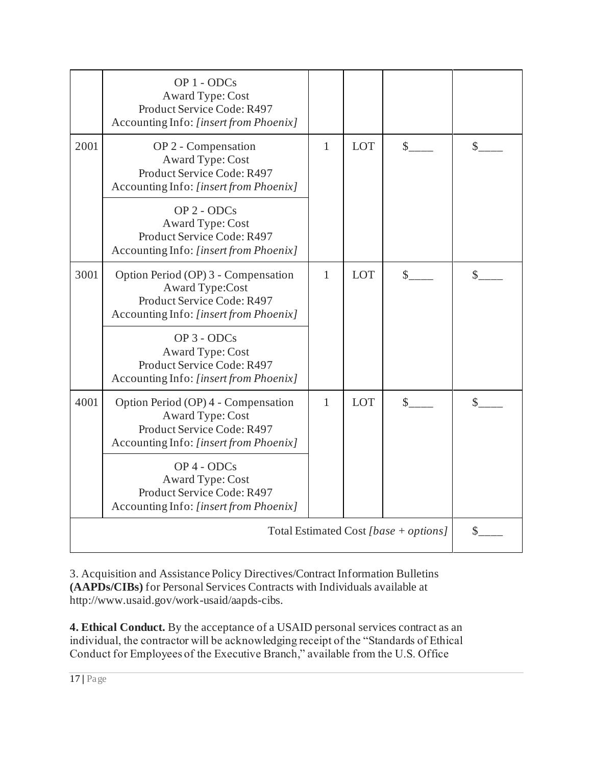|      | OP 1 - ODCs<br>Award Type: Cost<br>Product Service Code: R497<br>Accounting Info: [insert from Phoenix]                               |   |            |                            |               |
|------|---------------------------------------------------------------------------------------------------------------------------------------|---|------------|----------------------------|---------------|
| 2001 | OP 2 - Compensation<br>Award Type: Cost<br>Product Service Code: R497<br>Accounting Info: [insert from Phoenix]                       | 1 | <b>LOT</b> | $\mathcal{S}$              | $\mathcal{S}$ |
|      | OP 2 - ODCs<br>Award Type: Cost<br>Product Service Code: R497<br>Accounting Info: [insert from Phoenix]                               |   |            |                            |               |
| 3001 | Option Period (OP) 3 - Compensation<br><b>Award Type:Cost</b><br>Product Service Code: R497<br>Accounting Info: [insert from Phoenix] | 1 | <b>LOT</b> | $\mathbb{S}$               | \$            |
|      | OP 3 - ODCs<br>Award Type: Cost<br>Product Service Code: R497<br>Accounting Info: [insert from Phoenix]                               |   |            |                            |               |
| 4001 | Option Period (OP) 4 - Compensation<br>Award Type: Cost<br>Product Service Code: R497<br>Accounting Info: [insert from Phoenix]       | 1 |            | <b>LOT</b><br>$\mathbb{S}$ | \$            |
|      | OP 4 - ODCs<br>Award Type: Cost<br>Product Service Code: R497<br>Accounting Info: [insert from Phoenix]                               |   |            |                            |               |
|      | \$                                                                                                                                    |   |            |                            |               |

3. Acquisition and Assistance Policy Directives/Contract Information Bulletins **(AAPDs/CIBs)** for Personal Services Contracts with Individuals available at http://www.usaid.gov/work-usaid/aapds-cibs.

**4. Ethical Conduct.** By the acceptance of a USAID personal services contract as an individual, the contractor will be acknowledging receipt of the "Standards of Ethical Conduct for Employees of the Executive Branch," available from the U.S. Office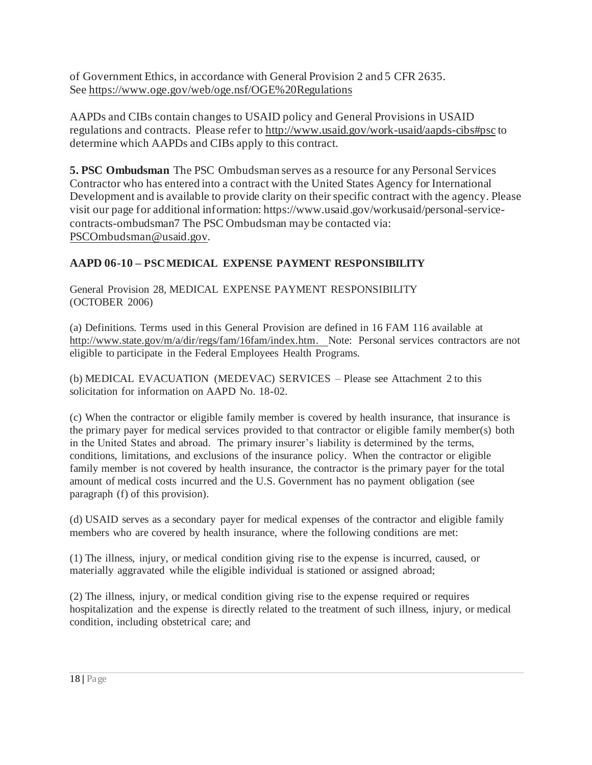of Government Ethics, in accordance with General Provision 2 and 5 CFR 2635. See<https://www.oge.gov/web/oge.nsf/OGE%20Regulations>

AAPDs and CIBs contain changes to USAID policy and General Provisions in USAID regulations and contracts. Please refer t[o http://www.usaid.gov/work-usaid/aapds-cibs#psc](http://www.usaid.gov/work-usaid/aapds-cibs#psc) to determine which AAPDs and CIBs apply to this contract.

**5. PSC Ombudsman** The PSC Ombudsman serves as a resource for any Personal Services Contractor who has entered into a contract with the United States Agency for International Development and is available to provide clarity on their specific contract with the agency. Please visit our page for additional information: https://www.usaid.gov/workusaid/personal-servicecontracts-ombudsman7 The PSC Ombudsman may be contacted via: [PSCOmbudsman@usaid.gov](mailto:PSCOmbudsman@usaid.gov).

## **AAPD 06-10 – PSCMEDICAL EXPENSE PAYMENT RESPONSIBILITY**

General Provision 28, MEDICAL EXPENSE PAYMENT RESPONSIBILITY (OCTOBER 2006)

(a) Definitions. Terms used in this General Provision are defined in 16 FAM 116 available at [http://www.state.gov/m/a/dir/regs/fam/16fam/index.htm.](http://www.state.gov/m/a/dir/regs/fam/16fam/index.htm) Note: Personal services contractors are not eligible to participate in the Federal Employees Health Programs.

(b) MEDICAL EVACUATION (MEDEVAC) SERVICES – Please see Attachment 2 to this solicitation for information on AAPD No. 18-02.

(c) When the contractor or eligible family member is covered by health insurance, that insurance is the primary payer for medical services provided to that contractor or eligible family member(s) both in the United States and abroad. The primary insurer's liability is determined by the terms, conditions, limitations, and exclusions of the insurance policy. When the contractor or eligible family member is not covered by health insurance, the contractor is the primary payer for the total amount of medical costs incurred and the U.S. Government has no payment obligation (see paragraph (f) of this provision).

(d) USAID serves as a secondary payer for medical expenses of the contractor and eligible family members who are covered by health insurance, where the following conditions are met:

(1) The illness, injury, or medical condition giving rise to the expense is incurred, caused, or materially aggravated while the eligible individual is stationed or assigned abroad;

(2) The illness, injury, or medical condition giving rise to the expense required or requires hospitalization and the expense is directly related to the treatment of such illness, injury, or medical condition, including obstetrical care; and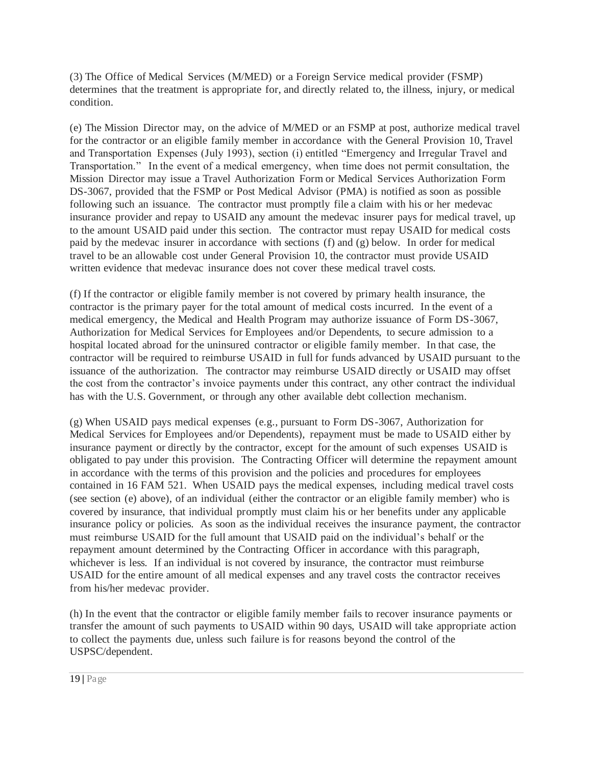(3) The Office of Medical Services (M/MED) or a Foreign Service medical provider (FSMP) determines that the treatment is appropriate for, and directly related to, the illness, injury, or medical condition.

(e) The Mission Director may, on the advice of M/MED or an FSMP at post, authorize medical travel for the contractor or an eligible family member in accordance with the General Provision 10, Travel and Transportation Expenses (July 1993), section (i) entitled "Emergency and Irregular Travel and Transportation." In the event of a medical emergency, when time does not permit consultation, the Mission Director may issue a Travel Authorization Form or Medical Services Authorization Form DS-3067, provided that the FSMP or Post Medical Advisor (PMA) is notified as soon as possible following such an issuance. The contractor must promptly file a claim with his or her medevac insurance provider and repay to USAID any amount the medevac insurer pays for medical travel, up to the amount USAID paid under this section. The contractor must repay USAID for medical costs paid by the medevac insurer in accordance with sections (f) and (g) below. In order for medical travel to be an allowable cost under General Provision 10, the contractor must provide USAID written evidence that medevac insurance does not cover these medical travel costs.

(f) If the contractor or eligible family member is not covered by primary health insurance, the contractor is the primary payer for the total amount of medical costs incurred. In the event of a medical emergency, the Medical and Health Program may authorize issuance of Form DS-3067, Authorization for Medical Services for Employees and/or Dependents, to secure admission to a hospital located abroad for the uninsured contractor or eligible family member. In that case, the contractor will be required to reimburse USAID in full for funds advanced by USAID pursuant to the issuance of the authorization. The contractor may reimburse USAID directly or USAID may offset the cost from the contractor's invoice payments under this contract, any other contract the individual has with the U.S. Government, or through any other available debt collection mechanism.

(g) When USAID pays medical expenses (e.g., pursuant to Form DS-3067, Authorization for Medical Services for Employees and/or Dependents), repayment must be made to USAID either by insurance payment or directly by the contractor, except for the amount of such expenses USAID is obligated to pay under this provision. The Contracting Officer will determine the repayment amount in accordance with the terms of this provision and the policies and procedures for employees contained in 16 FAM 521. When USAID pays the medical expenses, including medical travel costs (see section (e) above), of an individual (either the contractor or an eligible family member) who is covered by insurance, that individual promptly must claim his or her benefits under any applicable insurance policy or policies. As soon as the individual receives the insurance payment, the contractor must reimburse USAID for the full amount that USAID paid on the individual's behalf or the repayment amount determined by the Contracting Officer in accordance with this paragraph, whichever is less. If an individual is not covered by insurance, the contractor must reimburse USAID for the entire amount of all medical expenses and any travel costs the contractor receives from his/her medevac provider.

(h) In the event that the contractor or eligible family member fails to recover insurance payments or transfer the amount of such payments to USAID within 90 days, USAID will take appropriate action to collect the payments due, unless such failure is for reasons beyond the control of the USPSC/dependent.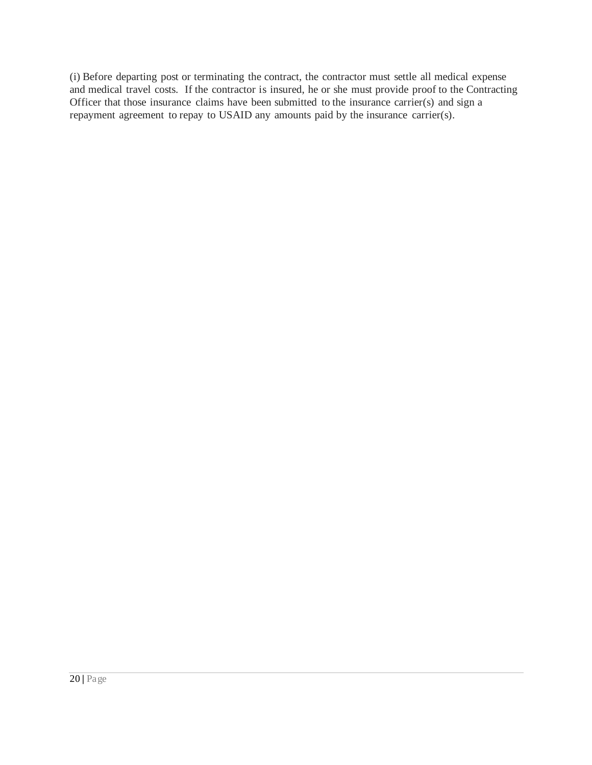(i) Before departing post or terminating the contract, the contractor must settle all medical expense and medical travel costs. If the contractor is insured, he or she must provide proof to the Contracting Officer that those insurance claims have been submitted to the insurance carrier(s) and sign a repayment agreement to repay to USAID any amounts paid by the insurance carrier(s).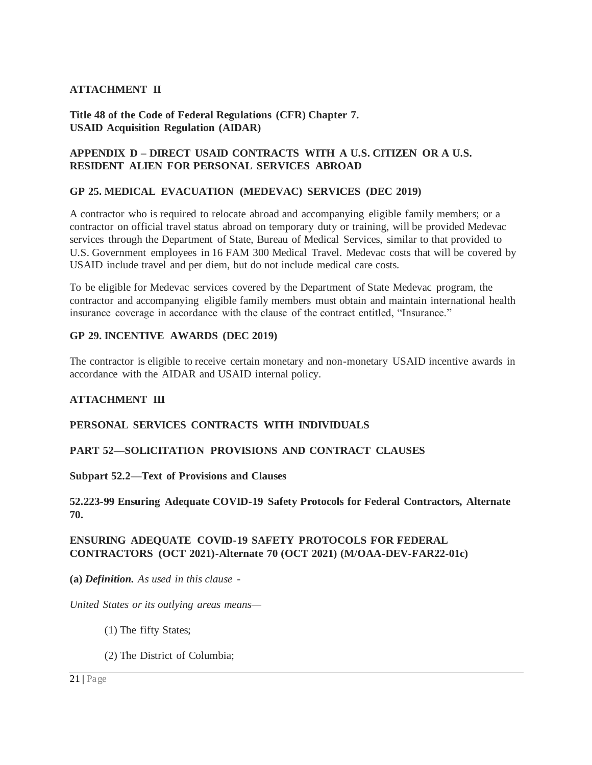#### **ATTACHMENT II**

**Title 48 of the Code of Federal Regulations (CFR) Chapter 7. USAID Acquisition Regulation (AIDAR)**

#### **APPENDIX D – DIRECT USAID CONTRACTS WITH A U.S. CITIZEN OR A U.S. RESIDENT ALIEN FOR PERSONAL SERVICES ABROAD**

#### **GP 25. MEDICAL EVACUATION (MEDEVAC) SERVICES (DEC 2019)**

A contractor who is required to relocate abroad and accompanying eligible family members; or a contractor on official travel status abroad on temporary duty or training, will be provided Medevac services through the Department of State, Bureau of Medical Services, similar to that provided to U.S. Government employees in 16 FAM 300 Medical Travel. Medevac costs that will be covered by USAID include travel and per diem, but do not include medical care costs.

To be eligible for Medevac services covered by the Department of State Medevac program, the contractor and accompanying eligible family members must obtain and maintain international health insurance coverage in accordance with the clause of the contract entitled, "Insurance."

#### **GP 29. INCENTIVE AWARDS (DEC 2019)**

The contractor is eligible to receive certain monetary and non-monetary USAID incentive awards in accordance with the AIDAR and USAID internal policy.

#### **ATTACHMENT III**

#### **PERSONAL SERVICES CONTRACTS WITH INDIVIDUALS**

#### **PART 52—SOLICITATION PROVISIONS AND CONTRACT CLAUSES**

**Subpart 52.2—Text of Provisions and Clauses** 

#### **52.223-99 Ensuring Adequate COVID-19 Safety Protocols for Federal Contractors, Alternate 70.**

#### **ENSURING ADEQUATE COVID-19 SAFETY PROTOCOLS FOR FEDERAL CONTRACTORS (OCT 2021)-Alternate 70 (OCT 2021) (M/OAA-DEV-FAR22-01c)**

**(a)** *Definition. As used in this clause -*

*United States or its outlying areas means—*

- (1) The fifty States;
- (2) The District of Columbia;